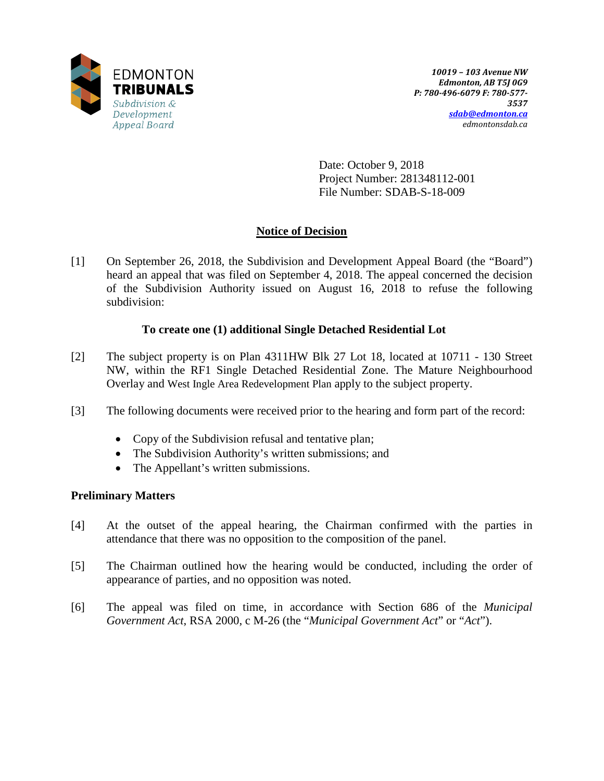

Date: October 9, 2018 Project Number: 281348112-001 File Number: SDAB-S-18-009

# **Notice of Decision**

[1] On September 26, 2018, the Subdivision and Development Appeal Board (the "Board") heard an appeal that was filed on September 4, 2018. The appeal concerned the decision of the Subdivision Authority issued on August 16, 2018 to refuse the following subdivision:

## **To create one (1) additional Single Detached Residential Lot**

- [2] The subject property is on Plan 4311HW Blk 27 Lot 18, located at 10711 130 Street NW, within the RF1 Single Detached Residential Zone. The Mature Neighbourhood Overlay and West Ingle Area Redevelopment Plan apply to the subject property.
- [3] The following documents were received prior to the hearing and form part of the record:
	- Copy of the Subdivision refusal and tentative plan;
	- The Subdivision Authority's written submissions; and
	- The Appellant's written submissions.

## **Preliminary Matters**

- [4] At the outset of the appeal hearing, the Chairman confirmed with the parties in attendance that there was no opposition to the composition of the panel.
- [5] The Chairman outlined how the hearing would be conducted, including the order of appearance of parties, and no opposition was noted.
- [6] The appeal was filed on time, in accordance with Section 686 of the *Municipal Government Act*, RSA 2000, c M-26 (the "*Municipal Government Act*" or "*Act*").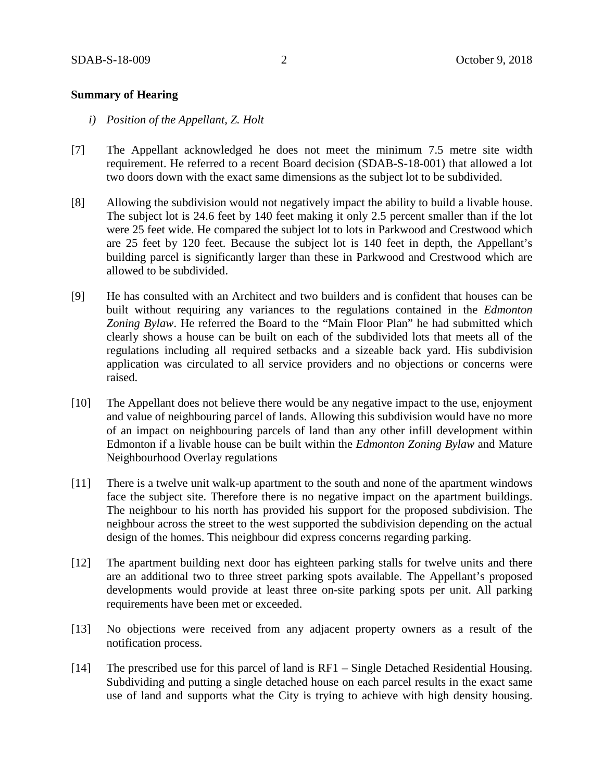### **Summary of Hearing**

- *i) Position of the Appellant, Z. Holt*
- [7] The Appellant acknowledged he does not meet the minimum 7.5 metre site width requirement. He referred to a recent Board decision (SDAB-S-18-001) that allowed a lot two doors down with the exact same dimensions as the subject lot to be subdivided.
- [8] Allowing the subdivision would not negatively impact the ability to build a livable house. The subject lot is 24.6 feet by 140 feet making it only 2.5 percent smaller than if the lot were 25 feet wide. He compared the subject lot to lots in Parkwood and Crestwood which are 25 feet by 120 feet. Because the subject lot is 140 feet in depth, the Appellant's building parcel is significantly larger than these in Parkwood and Crestwood which are allowed to be subdivided.
- [9] He has consulted with an Architect and two builders and is confident that houses can be built without requiring any variances to the regulations contained in the *Edmonton Zoning Bylaw*. He referred the Board to the "Main Floor Plan" he had submitted which clearly shows a house can be built on each of the subdivided lots that meets all of the regulations including all required setbacks and a sizeable back yard. His subdivision application was circulated to all service providers and no objections or concerns were raised.
- [10] The Appellant does not believe there would be any negative impact to the use, enjoyment and value of neighbouring parcel of lands. Allowing this subdivision would have no more of an impact on neighbouring parcels of land than any other infill development within Edmonton if a livable house can be built within the *Edmonton Zoning Bylaw* and Mature Neighbourhood Overlay regulations
- [11] There is a twelve unit walk-up apartment to the south and none of the apartment windows face the subject site. Therefore there is no negative impact on the apartment buildings. The neighbour to his north has provided his support for the proposed subdivision. The neighbour across the street to the west supported the subdivision depending on the actual design of the homes. This neighbour did express concerns regarding parking.
- [12] The apartment building next door has eighteen parking stalls for twelve units and there are an additional two to three street parking spots available. The Appellant's proposed developments would provide at least three on-site parking spots per unit. All parking requirements have been met or exceeded.
- [13] No objections were received from any adjacent property owners as a result of the notification process.
- [14] The prescribed use for this parcel of land is RF1 Single Detached Residential Housing. Subdividing and putting a single detached house on each parcel results in the exact same use of land and supports what the City is trying to achieve with high density housing.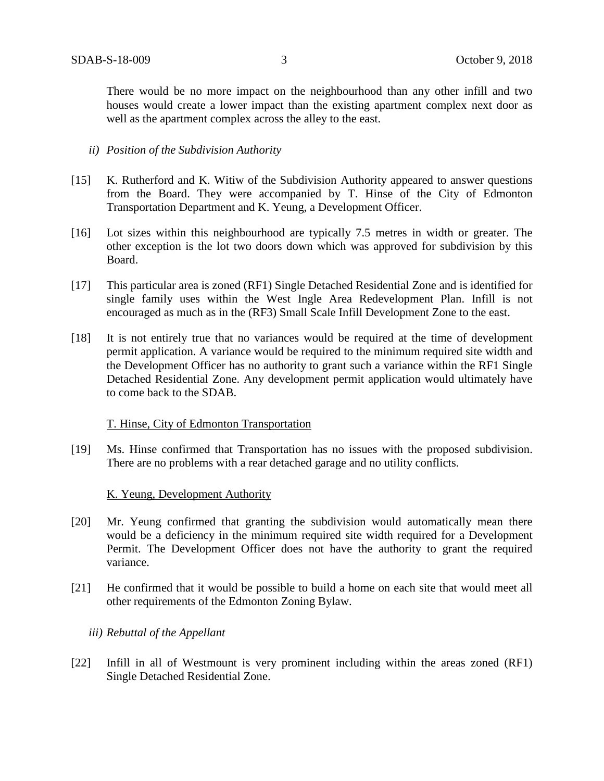There would be no more impact on the neighbourhood than any other infill and two houses would create a lower impact than the existing apartment complex next door as well as the apartment complex across the alley to the east.

### *ii) Position of the Subdivision Authority*

- [15] K. Rutherford and K. Witiw of the Subdivision Authority appeared to answer questions from the Board. They were accompanied by T. Hinse of the City of Edmonton Transportation Department and K. Yeung, a Development Officer.
- [16] Lot sizes within this neighbourhood are typically 7.5 metres in width or greater. The other exception is the lot two doors down which was approved for subdivision by this Board.
- [17] This particular area is zoned (RF1) Single Detached Residential Zone and is identified for single family uses within the West Ingle Area Redevelopment Plan. Infill is not encouraged as much as in the (RF3) Small Scale Infill Development Zone to the east.
- [18] It is not entirely true that no variances would be required at the time of development permit application. A variance would be required to the minimum required site width and the Development Officer has no authority to grant such a variance within the RF1 Single Detached Residential Zone. Any development permit application would ultimately have to come back to the SDAB.

### T. Hinse, City of Edmonton Transportation

[19] Ms. Hinse confirmed that Transportation has no issues with the proposed subdivision. There are no problems with a rear detached garage and no utility conflicts.

### K. Yeung, Development Authority

- [20] Mr. Yeung confirmed that granting the subdivision would automatically mean there would be a deficiency in the minimum required site width required for a Development Permit. The Development Officer does not have the authority to grant the required variance.
- [21] He confirmed that it would be possible to build a home on each site that would meet all other requirements of the Edmonton Zoning Bylaw.

### *iii) Rebuttal of the Appellant*

[22] Infill in all of Westmount is very prominent including within the areas zoned (RF1) Single Detached Residential Zone.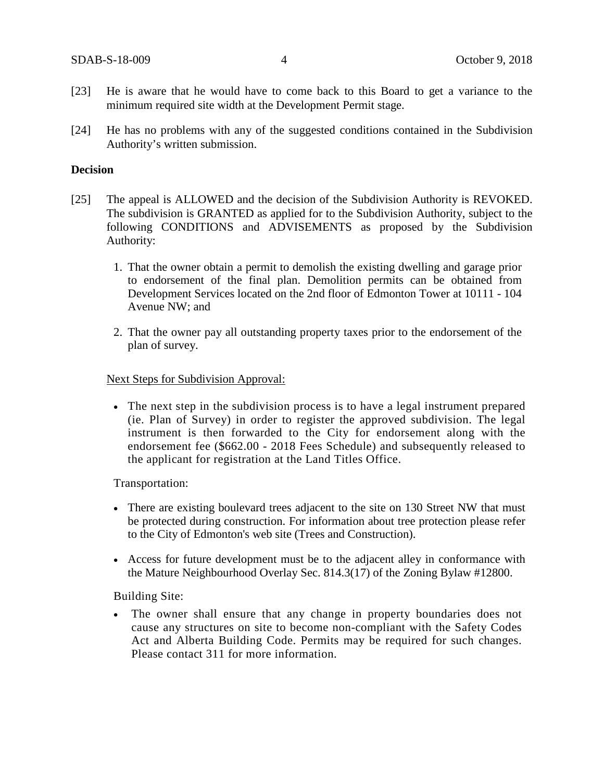- [23] He is aware that he would have to come back to this Board to get a variance to the minimum required site width at the Development Permit stage.
- [24] He has no problems with any of the suggested conditions contained in the Subdivision Authority's written submission.

#### **Decision**

- [25] The appeal is ALLOWED and the decision of the Subdivision Authority is REVOKED. The subdivision is GRANTED as applied for to the Subdivision Authority, subject to the following CONDITIONS and ADVISEMENTS as proposed by the Subdivision Authority:
	- 1. That the owner obtain a permit to demolish the existing dwelling and garage prior to endorsement of the final plan. Demolition permits can be obtained from Development Services located on the 2nd floor of Edmonton Tower at 10111 - 104 Avenue NW; and
	- 2. That the owner pay all outstanding property taxes prior to the endorsement of the plan of survey.

#### Next Steps for Subdivision Approval:

• The next step in the subdivision process is to have a legal instrument prepared (ie. Plan of Survey) in order to register the approved subdivision. The legal instrument is then forwarded to the City for endorsement along with the endorsement fee (\$662.00 - 2018 Fees Schedule) and subsequently released to the applicant for registration at the Land Titles Office.

Transportation:

- There are existing boulevard trees adjacent to the site on 130 Street NW that must be protected during construction. For information about tree protection please refer to the City of Edmonton's web site (Trees and Construction).
- Access for future development must be to the adjacent alley in conformance with the Mature Neighbourhood Overlay Sec. 814.3(17) of the Zoning Bylaw #12800.

Building Site:

• The owner shall ensure that any change in property boundaries does not cause any structures on site to become non-compliant with the Safety Codes Act and Alberta Building Code. Permits may be required for such changes. Please contact 311 for more information.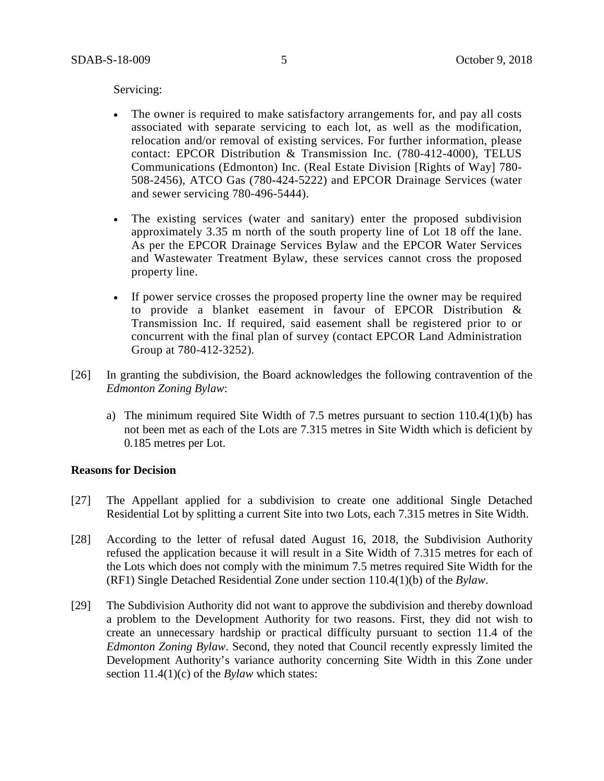Servicing:

- The owner is required to make satisfactory arrangements for, and pay all costs associated with separate servicing to each lot, as well as the modification, relocation and/or removal of existing services. For further information, please contact: EPCOR Distribution & Transmission Inc. (780-412-4000), TELUS Communications (Edmonton) Inc. (Real Estate Division [Rights of Way] 780- 508-2456), ATCO Gas (780-424-5222) and EPCOR Drainage Services (water and sewer servicing 780-496-5444).
- The existing services (water and sanitary) enter the proposed subdivision approximately 3.35 m north of the south property line of Lot 18 off the lane. As per the EPCOR Drainage Services Bylaw and the EPCOR Water Services and Wastewater Treatment Bylaw, these services cannot cross the proposed property line.
- If power service crosses the proposed property line the owner may be required to provide a blanket easement in favour of EPCOR Distribution & Transmission Inc. If required, said easement shall be registered prior to or concurrent with the final plan of survey (contact EPCOR Land Administration Group at 780-412-3252).
- [26] In granting the subdivision, the Board acknowledges the following contravention of the *Edmonton Zoning Bylaw*:
	- a) The minimum required Site Width of 7.5 metres pursuant to section 110.4(1)(b) has not been met as each of the Lots are 7.315 metres in Site Width which is deficient by 0.185 metres per Lot.

#### **Reasons for Decision**

- [27] The Appellant applied for a subdivision to create one additional Single Detached Residential Lot by splitting a current Site into two Lots, each 7.315 metres in Site Width.
- [28] According to the letter of refusal dated August 16, 2018, the Subdivision Authority refused the application because it will result in a Site Width of 7.315 metres for each of the Lots which does not comply with the minimum 7.5 metres required Site Width for the (RF1) Single Detached Residential Zone under section 110.4(1)(b) of the *Bylaw*.
- [29] The Subdivision Authority did not want to approve the subdivision and thereby download a problem to the Development Authority for two reasons. First, they did not wish to create an unnecessary hardship or practical difficulty pursuant to section 11.4 of the *Edmonton Zoning Bylaw*. Second, they noted that Council recently expressly limited the Development Authority's variance authority concerning Site Width in this Zone under section 11.4(1)(c) of the *Bylaw* which states: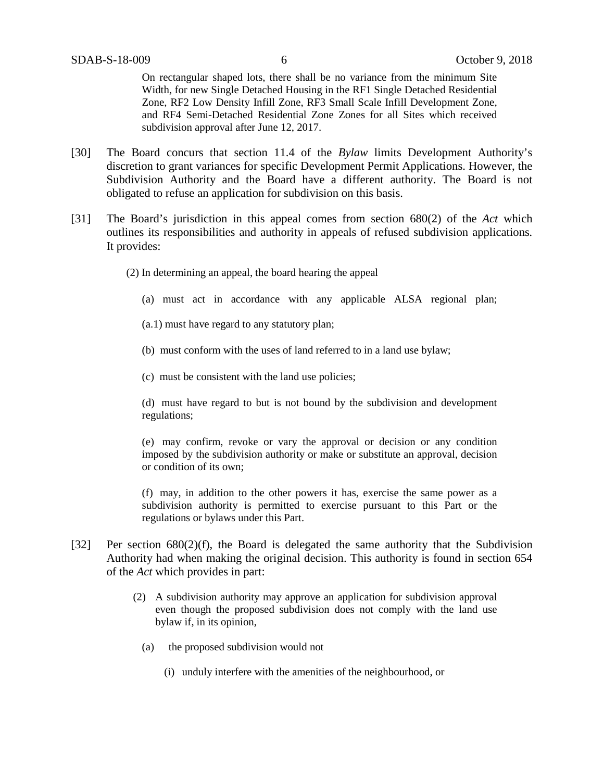On rectangular shaped lots, there shall be no variance from the minimum Site Width, for new Single Detached Housing in the RF1 Single Detached Residential Zone, RF2 Low Density Infill Zone, RF3 Small Scale Infill Development Zone, and RF4 Semi-Detached Residential Zone Zones for all Sites which received subdivision approval after June 12, 2017.

- [30] The Board concurs that section 11.4 of the *Bylaw* limits Development Authority's discretion to grant variances for specific Development Permit Applications. However, the Subdivision Authority and the Board have a different authority. The Board is not obligated to refuse an application for subdivision on this basis.
- [31] The Board's jurisdiction in this appeal comes from section 680(2) of the *Act* which outlines its responsibilities and authority in appeals of refused subdivision applications*.*  It provides:
	- (2) In determining an appeal, the board hearing the appeal
		- (a) must act in accordance with any applicable ALSA regional plan;
		- (a.1) must have regard to any statutory plan;
		- (b) must conform with the uses of land referred to in a land use bylaw;
		- (c) must be consistent with the land use policies;

(d) must have regard to but is not bound by the subdivision and development regulations;

(e) may confirm, revoke or vary the approval or decision or any condition imposed by the subdivision authority or make or substitute an approval, decision or condition of its own;

(f) may, in addition to the other powers it has, exercise the same power as a subdivision authority is permitted to exercise pursuant to this Part or the regulations or bylaws under this Part.

- [32] Per section 680(2)(f), the Board is delegated the same authority that the Subdivision Authority had when making the original decision. This authority is found in section 654 of the *Act* which provides in part:
	- (2) A subdivision authority may approve an application for subdivision approval even though the proposed subdivision does not comply with the land use bylaw if, in its opinion,
		- (a) the proposed subdivision would not
			- (i) unduly interfere with the amenities of the neighbourhood, or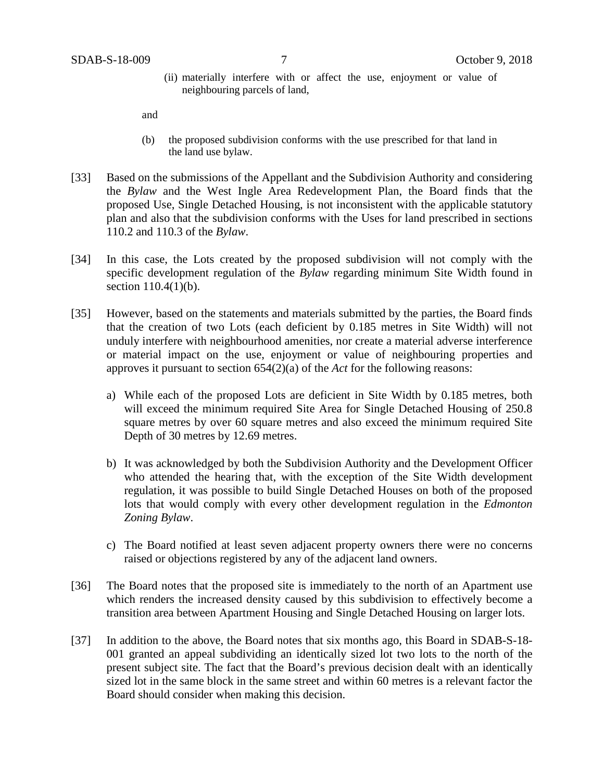(ii) materially interfere with or affect the use, enjoyment or value of neighbouring parcels of land,

and

- (b) the proposed subdivision conforms with the use prescribed for that land in the land use bylaw.
- [33] Based on the submissions of the Appellant and the Subdivision Authority and considering the *Bylaw* and the West Ingle Area Redevelopment Plan, the Board finds that the proposed Use, Single Detached Housing, is not inconsistent with the applicable statutory plan and also that the subdivision conforms with the Uses for land prescribed in sections 110.2 and 110.3 of the *Bylaw*.
- [34] In this case, the Lots created by the proposed subdivision will not comply with the specific development regulation of the *Bylaw* regarding minimum Site Width found in section 110.4(1)(b).
- [35] However, based on the statements and materials submitted by the parties, the Board finds that the creation of two Lots (each deficient by 0.185 metres in Site Width) will not unduly interfere with neighbourhood amenities, nor create a material adverse interference or material impact on the use, enjoyment or value of neighbouring properties and approves it pursuant to section 654(2)(a) of the *Act* for the following reasons:
	- a) While each of the proposed Lots are deficient in Site Width by 0.185 metres, both will exceed the minimum required Site Area for Single Detached Housing of 250.8 square metres by over 60 square metres and also exceed the minimum required Site Depth of 30 metres by 12.69 metres.
	- b) It was acknowledged by both the Subdivision Authority and the Development Officer who attended the hearing that, with the exception of the Site Width development regulation, it was possible to build Single Detached Houses on both of the proposed lots that would comply with every other development regulation in the *Edmonton Zoning Bylaw*.
	- c) The Board notified at least seven adjacent property owners there were no concerns raised or objections registered by any of the adjacent land owners.
- [36] The Board notes that the proposed site is immediately to the north of an Apartment use which renders the increased density caused by this subdivision to effectively become a transition area between Apartment Housing and Single Detached Housing on larger lots.
- [37] In addition to the above, the Board notes that six months ago, this Board in SDAB-S-18- 001 granted an appeal subdividing an identically sized lot two lots to the north of the present subject site. The fact that the Board's previous decision dealt with an identically sized lot in the same block in the same street and within 60 metres is a relevant factor the Board should consider when making this decision.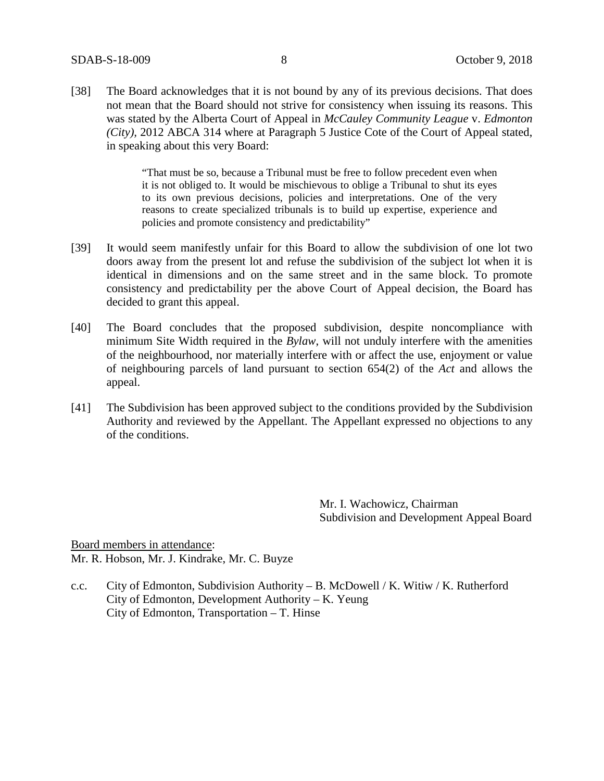[38] The Board acknowledges that it is not bound by any of its previous decisions. That does not mean that the Board should not strive for consistency when issuing its reasons. This was stated by the Alberta Court of Appeal in *McCauley Community League* v. *Edmonton (City),* 2012 ABCA 314 where at Paragraph 5 Justice Cote of the Court of Appeal stated, in speaking about this very Board:

> "That must be so, because a Tribunal must be free to follow precedent even when it is not obliged to. It would be mischievous to oblige a Tribunal to shut its eyes to its own previous decisions, policies and interpretations. One of the very reasons to create specialized tribunals is to build up expertise, experience and policies and promote consistency and predictability"

- [39] It would seem manifestly unfair for this Board to allow the subdivision of one lot two doors away from the present lot and refuse the subdivision of the subject lot when it is identical in dimensions and on the same street and in the same block. To promote consistency and predictability per the above Court of Appeal decision, the Board has decided to grant this appeal.
- [40] The Board concludes that the proposed subdivision, despite noncompliance with minimum Site Width required in the *Bylaw*, will not unduly interfere with the amenities of the neighbourhood, nor materially interfere with or affect the use, enjoyment or value of neighbouring parcels of land pursuant to section 654(2) of the *Act* and allows the appeal.
- [41] The Subdivision has been approved subject to the conditions provided by the Subdivision Authority and reviewed by the Appellant. The Appellant expressed no objections to any of the conditions.

Mr. I. Wachowicz, Chairman Subdivision and Development Appeal Board

Board members in attendance: Mr. R. Hobson, Mr. J. Kindrake, Mr. C. Buyze

c.c. City of Edmonton, Subdivision Authority – B. McDowell / K. Witiw / K. Rutherford City of Edmonton, Development Authority – K. Yeung City of Edmonton, Transportation – T. Hinse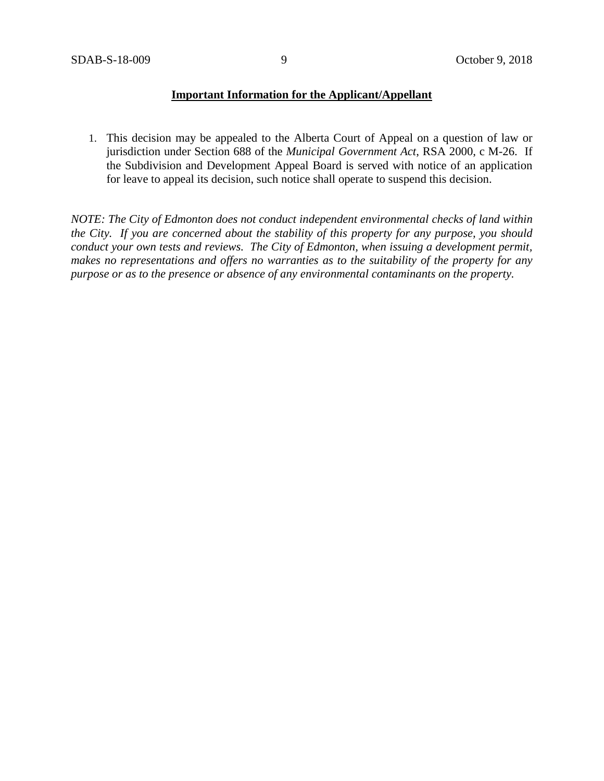### **Important Information for the Applicant/Appellant**

1. This decision may be appealed to the Alberta Court of Appeal on a question of law or jurisdiction under Section 688 of the *Municipal Government Act*, RSA 2000, c M-26. If the Subdivision and Development Appeal Board is served with notice of an application for leave to appeal its decision, such notice shall operate to suspend this decision.

*NOTE: The City of Edmonton does not conduct independent environmental checks of land within the City. If you are concerned about the stability of this property for any purpose, you should conduct your own tests and reviews. The City of Edmonton, when issuing a development permit, makes no representations and offers no warranties as to the suitability of the property for any purpose or as to the presence or absence of any environmental contaminants on the property.*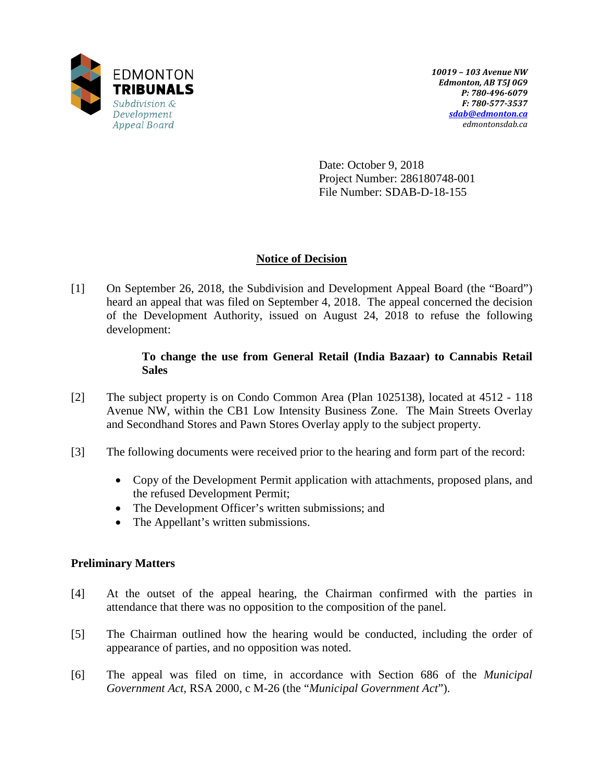

Date: October 9, 2018 Project Number: 286180748-001 File Number: SDAB-D-18-155

## **Notice of Decision**

[1] On September 26, 2018, the Subdivision and Development Appeal Board (the "Board") heard an appeal that was filed on September 4, 2018. The appeal concerned the decision of the Development Authority, issued on August 24, 2018 to refuse the following development:

### **To change the use from General Retail (India Bazaar) to Cannabis Retail Sales**

- [2] The subject property is on Condo Common Area (Plan 1025138), located at 4512 118 Avenue NW, within the CB1 Low Intensity Business Zone. The Main Streets Overlay and Secondhand Stores and Pawn Stores Overlay apply to the subject property.
- [3] The following documents were received prior to the hearing and form part of the record:
	- Copy of the Development Permit application with attachments, proposed plans, and the refused Development Permit;
	- The Development Officer's written submissions; and
	- The Appellant's written submissions.

## **Preliminary Matters**

- [4] At the outset of the appeal hearing, the Chairman confirmed with the parties in attendance that there was no opposition to the composition of the panel.
- [5] The Chairman outlined how the hearing would be conducted, including the order of appearance of parties, and no opposition was noted.
- [6] The appeal was filed on time, in accordance with Section 686 of the *Municipal Government Act*, RSA 2000, c M-26 (the "*Municipal Government Act*").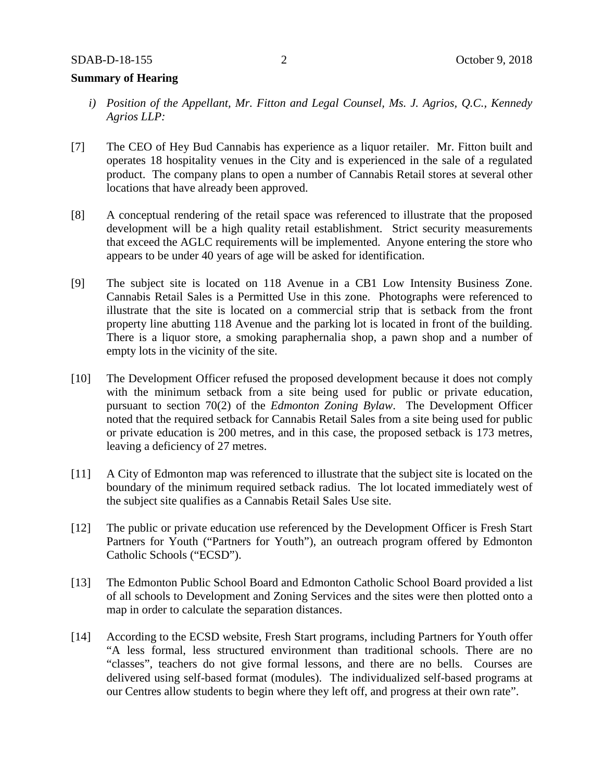### **Summary of Hearing**

- *i) Position of the Appellant, Mr. Fitton and Legal Counsel, Ms. J. Agrios, Q.C., Kennedy Agrios LLP:*
- [7] The CEO of Hey Bud Cannabis has experience as a liquor retailer. Mr. Fitton built and operates 18 hospitality venues in the City and is experienced in the sale of a regulated product. The company plans to open a number of Cannabis Retail stores at several other locations that have already been approved.
- [8] A conceptual rendering of the retail space was referenced to illustrate that the proposed development will be a high quality retail establishment. Strict security measurements that exceed the AGLC requirements will be implemented. Anyone entering the store who appears to be under 40 years of age will be asked for identification.
- [9] The subject site is located on 118 Avenue in a CB1 Low Intensity Business Zone. Cannabis Retail Sales is a Permitted Use in this zone. Photographs were referenced to illustrate that the site is located on a commercial strip that is setback from the front property line abutting 118 Avenue and the parking lot is located in front of the building. There is a liquor store, a smoking paraphernalia shop, a pawn shop and a number of empty lots in the vicinity of the site.
- [10] The Development Officer refused the proposed development because it does not comply with the minimum setback from a site being used for public or private education, pursuant to section 70(2) of the *Edmonton Zoning Bylaw*. The Development Officer noted that the required setback for Cannabis Retail Sales from a site being used for public or private education is 200 metres, and in this case, the proposed setback is 173 metres, leaving a deficiency of 27 metres.
- [11] A City of Edmonton map was referenced to illustrate that the subject site is located on the boundary of the minimum required setback radius. The lot located immediately west of the subject site qualifies as a Cannabis Retail Sales Use site.
- [12] The public or private education use referenced by the Development Officer is Fresh Start Partners for Youth ("Partners for Youth"), an outreach program offered by Edmonton Catholic Schools ("ECSD").
- [13] The Edmonton Public School Board and Edmonton Catholic School Board provided a list of all schools to Development and Zoning Services and the sites were then plotted onto a map in order to calculate the separation distances.
- [14] According to the ECSD website, Fresh Start programs, including Partners for Youth offer "A less formal, less structured environment than traditional schools. There are no "classes", teachers do not give formal lessons, and there are no bells. Courses are delivered using self-based format (modules). The individualized self-based programs at our Centres allow students to begin where they left off, and progress at their own rate".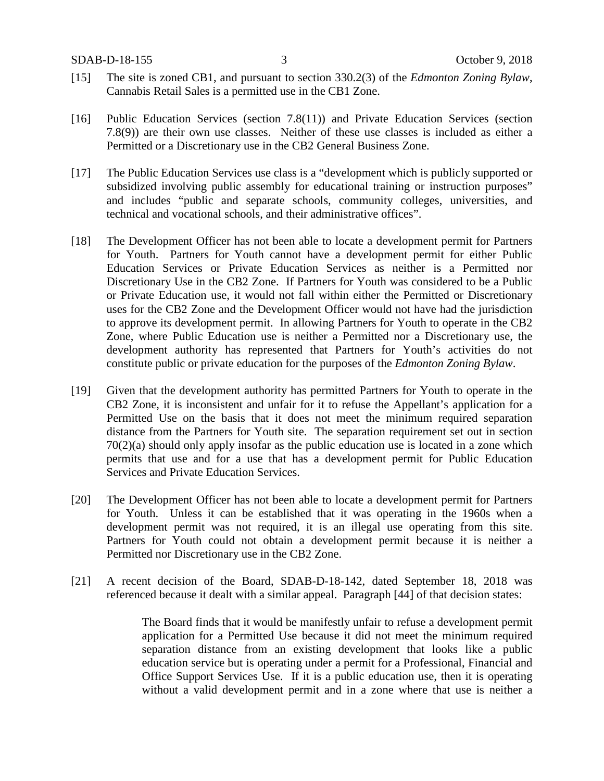- [15] The site is zoned CB1, and pursuant to section 330.2(3) of the *Edmonton Zoning Bylaw*, Cannabis Retail Sales is a permitted use in the CB1 Zone.
- [16] Public Education Services (section 7.8(11)) and Private Education Services (section 7.8(9)) are their own use classes. Neither of these use classes is included as either a Permitted or a Discretionary use in the CB2 General Business Zone.
- [17] The Public Education Services use class is a "development which is publicly supported or subsidized involving public assembly for educational training or instruction purposes" and includes "public and separate schools, community colleges, universities, and technical and vocational schools, and their administrative offices".
- [18] The Development Officer has not been able to locate a development permit for Partners for Youth. Partners for Youth cannot have a development permit for either Public Education Services or Private Education Services as neither is a Permitted nor Discretionary Use in the CB2 Zone. If Partners for Youth was considered to be a Public or Private Education use, it would not fall within either the Permitted or Discretionary uses for the CB2 Zone and the Development Officer would not have had the jurisdiction to approve its development permit. In allowing Partners for Youth to operate in the CB2 Zone, where Public Education use is neither a Permitted nor a Discretionary use, the development authority has represented that Partners for Youth's activities do not constitute public or private education for the purposes of the *Edmonton Zoning Bylaw*.
- [19] Given that the development authority has permitted Partners for Youth to operate in the CB2 Zone, it is inconsistent and unfair for it to refuse the Appellant's application for a Permitted Use on the basis that it does not meet the minimum required separation distance from the Partners for Youth site. The separation requirement set out in section 70(2)(a) should only apply insofar as the public education use is located in a zone which permits that use and for a use that has a development permit for Public Education Services and Private Education Services.
- [20] The Development Officer has not been able to locate a development permit for Partners for Youth. Unless it can be established that it was operating in the 1960s when a development permit was not required, it is an illegal use operating from this site. Partners for Youth could not obtain a development permit because it is neither a Permitted nor Discretionary use in the CB2 Zone.
- [21] A recent decision of the Board, SDAB-D-18-142, dated September 18, 2018 was referenced because it dealt with a similar appeal. Paragraph [44] of that decision states:

The Board finds that it would be manifestly unfair to refuse a development permit application for a Permitted Use because it did not meet the minimum required separation distance from an existing development that looks like a public education service but is operating under a permit for a Professional, Financial and Office Support Services Use. If it is a public education use, then it is operating without a valid development permit and in a zone where that use is neither a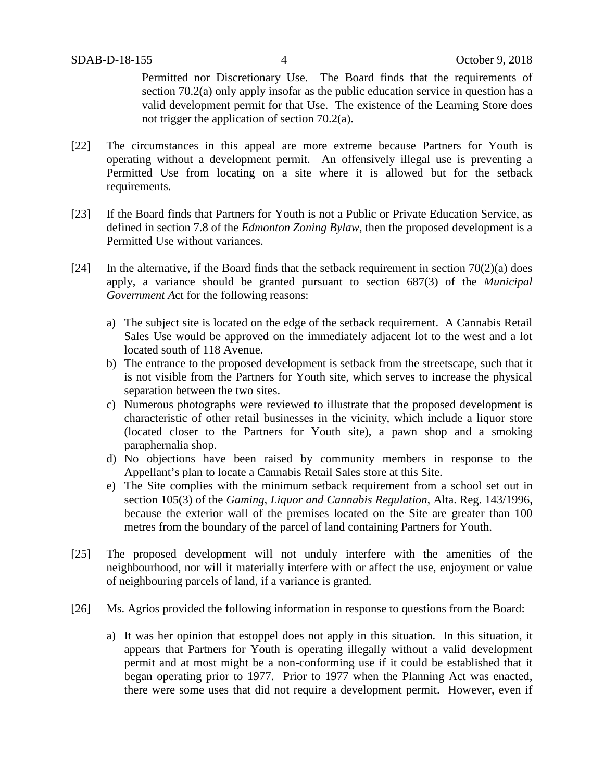Permitted nor Discretionary Use. The Board finds that the requirements of section 70.2(a) only apply insofar as the public education service in question has a valid development permit for that Use. The existence of the Learning Store does not trigger the application of section 70.2(a).

- [22] The circumstances in this appeal are more extreme because Partners for Youth is operating without a development permit. An offensively illegal use is preventing a Permitted Use from locating on a site where it is allowed but for the setback requirements.
- [23] If the Board finds that Partners for Youth is not a Public or Private Education Service, as defined in section 7.8 of the *Edmonton Zoning Bylaw*, then the proposed development is a Permitted Use without variances.
- [24] In the alternative, if the Board finds that the setback requirement in section  $70(2)(a)$  does apply, a variance should be granted pursuant to section 687(3) of the *Municipal Government A*ct for the following reasons:
	- a) The subject site is located on the edge of the setback requirement. A Cannabis Retail Sales Use would be approved on the immediately adjacent lot to the west and a lot located south of 118 Avenue.
	- b) The entrance to the proposed development is setback from the streetscape, such that it is not visible from the Partners for Youth site, which serves to increase the physical separation between the two sites.
	- c) Numerous photographs were reviewed to illustrate that the proposed development is characteristic of other retail businesses in the vicinity, which include a liquor store (located closer to the Partners for Youth site), a pawn shop and a smoking paraphernalia shop.
	- d) No objections have been raised by community members in response to the Appellant's plan to locate a Cannabis Retail Sales store at this Site.
	- e) The Site complies with the minimum setback requirement from a school set out in section 105(3) of the *Gaming, Liquor and Cannabis Regulation*, Alta. Reg. 143/1996, because the exterior wall of the premises located on the Site are greater than 100 metres from the boundary of the parcel of land containing Partners for Youth.
- [25] The proposed development will not unduly interfere with the amenities of the neighbourhood, nor will it materially interfere with or affect the use, enjoyment or value of neighbouring parcels of land, if a variance is granted.
- [26] Ms. Agrios provided the following information in response to questions from the Board:
	- a) It was her opinion that estoppel does not apply in this situation. In this situation, it appears that Partners for Youth is operating illegally without a valid development permit and at most might be a non-conforming use if it could be established that it began operating prior to 1977. Prior to 1977 when the Planning Act was enacted, there were some uses that did not require a development permit. However, even if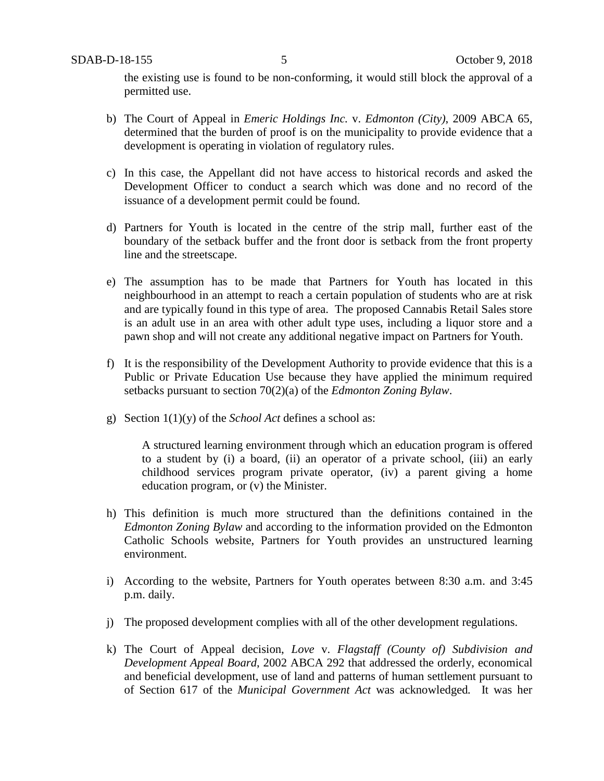the existing use is found to be non-conforming, it would still block the approval of a permitted use.

- b) The Court of Appeal in *Emeric Holdings Inc.* v. *Edmonton (City)*, 2009 ABCA 65, determined that the burden of proof is on the municipality to provide evidence that a development is operating in violation of regulatory rules.
- c) In this case, the Appellant did not have access to historical records and asked the Development Officer to conduct a search which was done and no record of the issuance of a development permit could be found.
- d) Partners for Youth is located in the centre of the strip mall, further east of the boundary of the setback buffer and the front door is setback from the front property line and the streetscape.
- e) The assumption has to be made that Partners for Youth has located in this neighbourhood in an attempt to reach a certain population of students who are at risk and are typically found in this type of area. The proposed Cannabis Retail Sales store is an adult use in an area with other adult type uses, including a liquor store and a pawn shop and will not create any additional negative impact on Partners for Youth.
- f) It is the responsibility of the Development Authority to provide evidence that this is a Public or Private Education Use because they have applied the minimum required setbacks pursuant to section 70(2)(a) of the *Edmonton Zoning Bylaw*.
- g) Section 1(1)(y) of the *School Act* defines a school as:

A structured learning environment through which an education program is offered to a student by (i) a board, (ii) an operator of a private school, (iii) an early childhood services program private operator, (iv) a parent giving a home education program, or (v) the Minister.

- h) This definition is much more structured than the definitions contained in the *Edmonton Zoning Bylaw* and according to the information provided on the Edmonton Catholic Schools website, Partners for Youth provides an unstructured learning environment.
- i) According to the website, Partners for Youth operates between 8:30 a.m. and 3:45 p.m. daily.
- j) The proposed development complies with all of the other development regulations.
- k) The Court of Appeal decision, *Love* v. *Flagstaff (County of) Subdivision and Development Appeal Board*, 2002 ABCA 292 that addressed the orderly, economical and beneficial development, use of land and patterns of human settlement pursuant to of Section 617 of the *Municipal Government Act* was acknowledged*.* It was her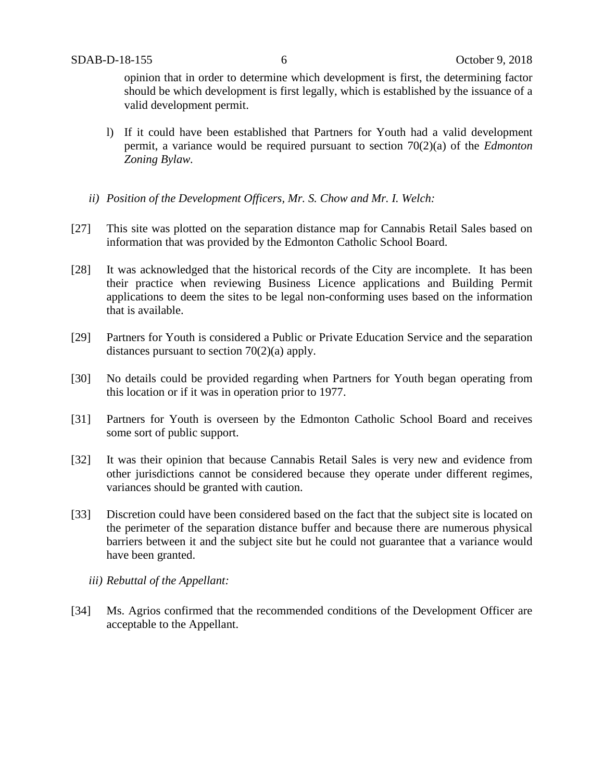opinion that in order to determine which development is first, the determining factor should be which development is first legally, which is established by the issuance of a valid development permit.

- l) If it could have been established that Partners for Youth had a valid development permit, a variance would be required pursuant to section 70(2)(a) of the *Edmonton Zoning Bylaw.*
- *ii) Position of the Development Officers, Mr. S. Chow and Mr. I. Welch:*
- [27] This site was plotted on the separation distance map for Cannabis Retail Sales based on information that was provided by the Edmonton Catholic School Board.
- [28] It was acknowledged that the historical records of the City are incomplete. It has been their practice when reviewing Business Licence applications and Building Permit applications to deem the sites to be legal non-conforming uses based on the information that is available.
- [29] Partners for Youth is considered a Public or Private Education Service and the separation distances pursuant to section 70(2)(a) apply.
- [30] No details could be provided regarding when Partners for Youth began operating from this location or if it was in operation prior to 1977.
- [31] Partners for Youth is overseen by the Edmonton Catholic School Board and receives some sort of public support.
- [32] It was their opinion that because Cannabis Retail Sales is very new and evidence from other jurisdictions cannot be considered because they operate under different regimes, variances should be granted with caution.
- [33] Discretion could have been considered based on the fact that the subject site is located on the perimeter of the separation distance buffer and because there are numerous physical barriers between it and the subject site but he could not guarantee that a variance would have been granted.
	- *iii) Rebuttal of the Appellant:*
- [34] Ms. Agrios confirmed that the recommended conditions of the Development Officer are acceptable to the Appellant.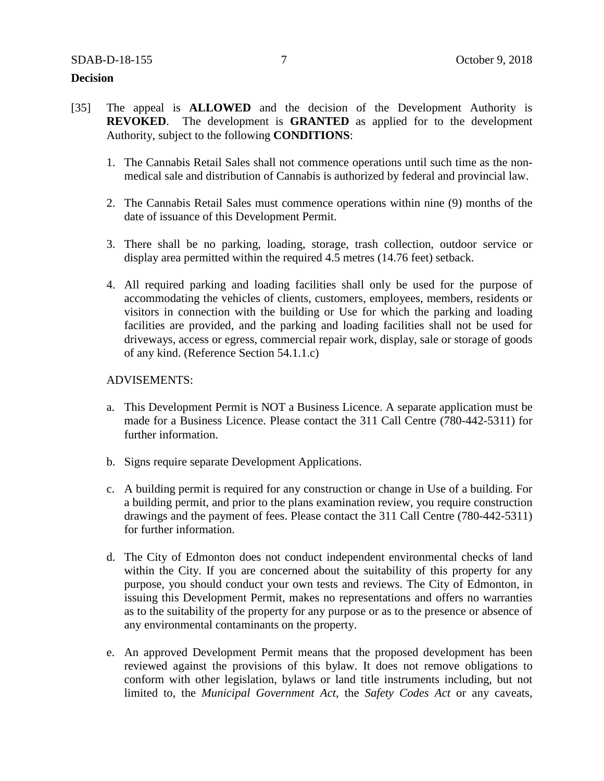### **Decision**

- [35] The appeal is **ALLOWED** and the decision of the Development Authority is **REVOKED**. The development is **GRANTED** as applied for to the development Authority, subject to the following **CONDITIONS**:
	- 1. The Cannabis Retail Sales shall not commence operations until such time as the nonmedical sale and distribution of Cannabis is authorized by federal and provincial law.
	- 2. The Cannabis Retail Sales must commence operations within nine (9) months of the date of issuance of this Development Permit.
	- 3. There shall be no parking, loading, storage, trash collection, outdoor service or display area permitted within the required 4.5 metres (14.76 feet) setback.
	- 4. All required parking and loading facilities shall only be used for the purpose of accommodating the vehicles of clients, customers, employees, members, residents or visitors in connection with the building or Use for which the parking and loading facilities are provided, and the parking and loading facilities shall not be used for driveways, access or egress, commercial repair work, display, sale or storage of goods of any kind. (Reference Section 54.1.1.c)

### ADVISEMENTS:

- a. This Development Permit is NOT a Business Licence. A separate application must be made for a Business Licence. Please contact the 311 Call Centre (780-442-5311) for further information.
- b. Signs require separate Development Applications.
- c. A building permit is required for any construction or change in Use of a building. For a building permit, and prior to the plans examination review, you require construction drawings and the payment of fees. Please contact the 311 Call Centre (780-442-5311) for further information.
- d. The City of Edmonton does not conduct independent environmental checks of land within the City. If you are concerned about the suitability of this property for any purpose, you should conduct your own tests and reviews. The City of Edmonton, in issuing this Development Permit, makes no representations and offers no warranties as to the suitability of the property for any purpose or as to the presence or absence of any environmental contaminants on the property.
- e. An approved Development Permit means that the proposed development has been reviewed against the provisions of this bylaw. It does not remove obligations to conform with other legislation, bylaws or land title instruments including, but not limited to, the *Municipal Government Act,* the *Safety Codes Act* or any caveats,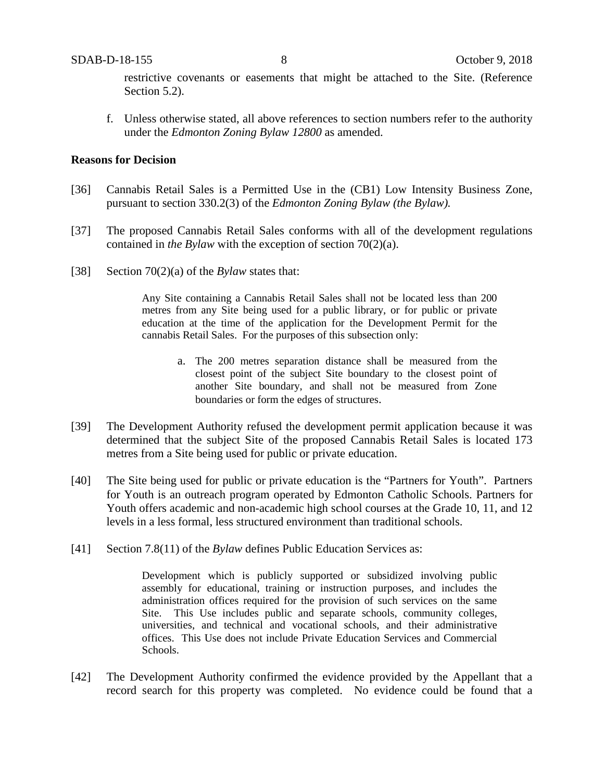restrictive covenants or easements that might be attached to the Site. (Reference Section 5.2).

f. Unless otherwise stated, all above references to section numbers refer to the authority under the *Edmonton Zoning Bylaw 12800* as amended.

### **Reasons for Decision**

- [36] Cannabis Retail Sales is a Permitted Use in the (CB1) Low Intensity Business Zone, pursuant to section 330.2(3) of the *Edmonton Zoning Bylaw (the Bylaw).*
- [37] The proposed Cannabis Retail Sales conforms with all of the development regulations contained in *the Bylaw* with the exception of section 70(2)(a).
- [38] Section 70(2)(a) of the *Bylaw* states that:

Any Site containing a Cannabis Retail Sales shall not be located less than 200 metres from any Site being used for a public library, or for public or private education at the time of the application for the Development Permit for the cannabis Retail Sales. For the purposes of this subsection only:

- a. The 200 metres separation distance shall be measured from the closest point of the subject Site boundary to the closest point of another Site boundary, and shall not be measured from Zone boundaries or form the edges of structures.
- [39] The Development Authority refused the development permit application because it was determined that the subject Site of the proposed Cannabis Retail Sales is located 173 metres from a Site being used for public or private education.
- [40] The Site being used for public or private education is the "Partners for Youth". Partners for Youth is an outreach program operated by Edmonton Catholic Schools. Partners for Youth offers academic and non-academic high school courses at the Grade 10, 11, and 12 levels in a less formal, less structured environment than traditional schools.
- [41] Section 7.8(11) of the *Bylaw* defines Public Education Services as:

Development which is publicly supported or subsidized involving public assembly for educational, training or instruction purposes, and includes the administration offices required for the provision of such services on the same Site. This Use includes public and separate schools, community colleges, universities, and technical and vocational schools, and their administrative offices. This Use does not include Private Education Services and Commercial Schools.

[42] The Development Authority confirmed the evidence provided by the Appellant that a record search for this property was completed. No evidence could be found that a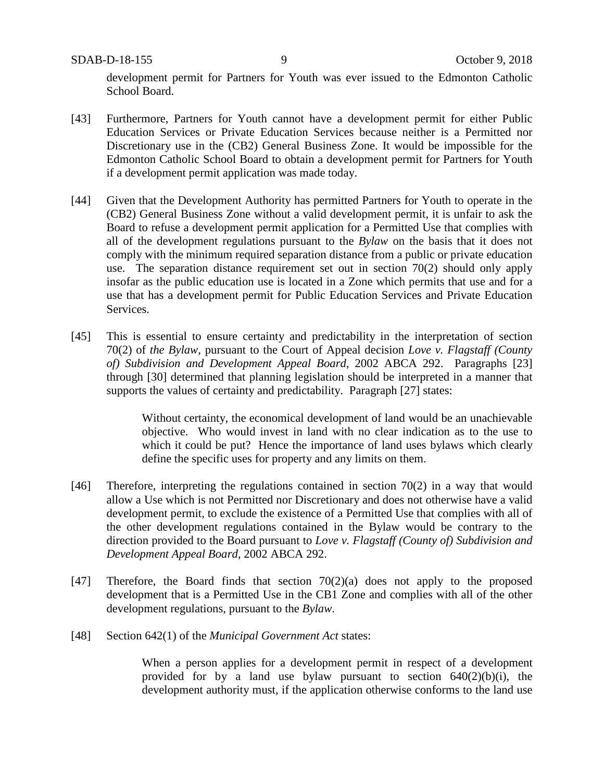SDAB-D-18-155 9 October 9, 2018

development permit for Partners for Youth was ever issued to the Edmonton Catholic School Board.

- [43] Furthermore, Partners for Youth cannot have a development permit for either Public Education Services or Private Education Services because neither is a Permitted nor Discretionary use in the (CB2) General Business Zone. It would be impossible for the Edmonton Catholic School Board to obtain a development permit for Partners for Youth if a development permit application was made today.
- [44] Given that the Development Authority has permitted Partners for Youth to operate in the (CB2) General Business Zone without a valid development permit, it is unfair to ask the Board to refuse a development permit application for a Permitted Use that complies with all of the development regulations pursuant to the *Bylaw* on the basis that it does not comply with the minimum required separation distance from a public or private education use. The separation distance requirement set out in section 70(2) should only apply insofar as the public education use is located in a Zone which permits that use and for a use that has a development permit for Public Education Services and Private Education Services.
- [45] This is essential to ensure certainty and predictability in the interpretation of section 70(2) of *the Bylaw*, pursuant to the Court of Appeal decision *Love v. Flagstaff (County of) Subdivision and Development Appeal Board*, 2002 ABCA 292. Paragraphs [23] through [30] determined that planning legislation should be interpreted in a manner that supports the values of certainty and predictability. Paragraph [27] states:

Without certainty, the economical development of land would be an unachievable objective. Who would invest in land with no clear indication as to the use to which it could be put? Hence the importance of land uses bylaws which clearly define the specific uses for property and any limits on them.

- [46] Therefore, interpreting the regulations contained in section 70(2) in a way that would allow a Use which is not Permitted nor Discretionary and does not otherwise have a valid development permit, to exclude the existence of a Permitted Use that complies with all of the other development regulations contained in the Bylaw would be contrary to the direction provided to the Board pursuant to *Love v. Flagstaff (County of) Subdivision and Development Appeal Board*, 2002 ABCA 292.
- [47] Therefore, the Board finds that section 70(2)(a) does not apply to the proposed development that is a Permitted Use in the CB1 Zone and complies with all of the other development regulations, pursuant to the *Bylaw*.
- [48] Section 642(1) of the *Municipal Government Act* states:

When a person applies for a development permit in respect of a development provided for by a land use bylaw pursuant to section  $640(2)(b)(i)$ , the development authority must, if the application otherwise conforms to the land use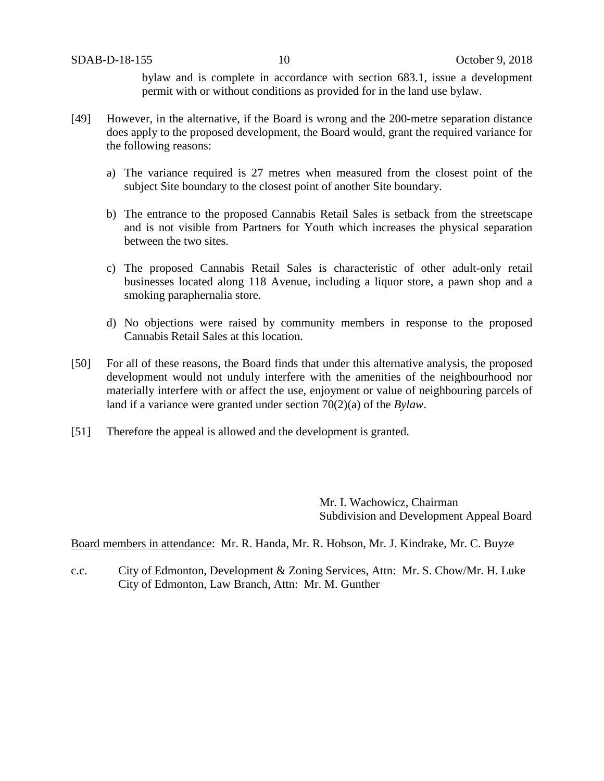bylaw and is complete in accordance with section 683.1, issue a development permit with or without conditions as provided for in the land use bylaw.

- [49] However, in the alternative, if the Board is wrong and the 200-metre separation distance does apply to the proposed development, the Board would, grant the required variance for the following reasons:
	- a) The variance required is 27 metres when measured from the closest point of the subject Site boundary to the closest point of another Site boundary.
	- b) The entrance to the proposed Cannabis Retail Sales is setback from the streetscape and is not visible from Partners for Youth which increases the physical separation between the two sites.
	- c) The proposed Cannabis Retail Sales is characteristic of other adult-only retail businesses located along 118 Avenue, including a liquor store, a pawn shop and a smoking paraphernalia store.
	- d) No objections were raised by community members in response to the proposed Cannabis Retail Sales at this location.
- [50] For all of these reasons, the Board finds that under this alternative analysis, the proposed development would not unduly interfere with the amenities of the neighbourhood nor materially interfere with or affect the use, enjoyment or value of neighbouring parcels of land if a variance were granted under section 70(2)(a) of the *Bylaw*.
- [51] Therefore the appeal is allowed and the development is granted.

Mr. I. Wachowicz, Chairman Subdivision and Development Appeal Board

Board members in attendance: Mr. R. Handa, Mr. R. Hobson, Mr. J. Kindrake, Mr. C. Buyze

c.c. City of Edmonton, Development & Zoning Services, Attn: Mr. S. Chow/Mr. H. Luke City of Edmonton, Law Branch, Attn: Mr. M. Gunther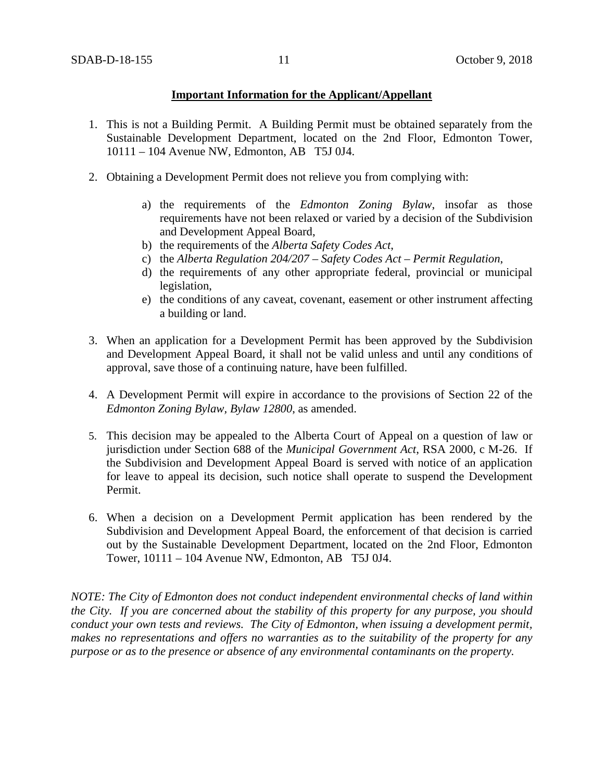### **Important Information for the Applicant/Appellant**

- 1. This is not a Building Permit. A Building Permit must be obtained separately from the Sustainable Development Department, located on the 2nd Floor, Edmonton Tower, 10111 – 104 Avenue NW, Edmonton, AB T5J 0J4.
- 2. Obtaining a Development Permit does not relieve you from complying with:
	- a) the requirements of the *Edmonton Zoning Bylaw*, insofar as those requirements have not been relaxed or varied by a decision of the Subdivision and Development Appeal Board,
	- b) the requirements of the *Alberta Safety Codes Act*,
	- c) the *Alberta Regulation 204/207 – Safety Codes Act – Permit Regulation*,
	- d) the requirements of any other appropriate federal, provincial or municipal legislation,
	- e) the conditions of any caveat, covenant, easement or other instrument affecting a building or land.
- 3. When an application for a Development Permit has been approved by the Subdivision and Development Appeal Board, it shall not be valid unless and until any conditions of approval, save those of a continuing nature, have been fulfilled.
- 4. A Development Permit will expire in accordance to the provisions of Section 22 of the *Edmonton Zoning Bylaw, Bylaw 12800*, as amended.
- 5. This decision may be appealed to the Alberta Court of Appeal on a question of law or jurisdiction under Section 688 of the *Municipal Government Act*, RSA 2000, c M-26. If the Subdivision and Development Appeal Board is served with notice of an application for leave to appeal its decision, such notice shall operate to suspend the Development Permit.
- 6. When a decision on a Development Permit application has been rendered by the Subdivision and Development Appeal Board, the enforcement of that decision is carried out by the Sustainable Development Department, located on the 2nd Floor, Edmonton Tower, 10111 – 104 Avenue NW, Edmonton, AB T5J 0J4.

*NOTE: The City of Edmonton does not conduct independent environmental checks of land within the City. If you are concerned about the stability of this property for any purpose, you should conduct your own tests and reviews. The City of Edmonton, when issuing a development permit, makes no representations and offers no warranties as to the suitability of the property for any purpose or as to the presence or absence of any environmental contaminants on the property.*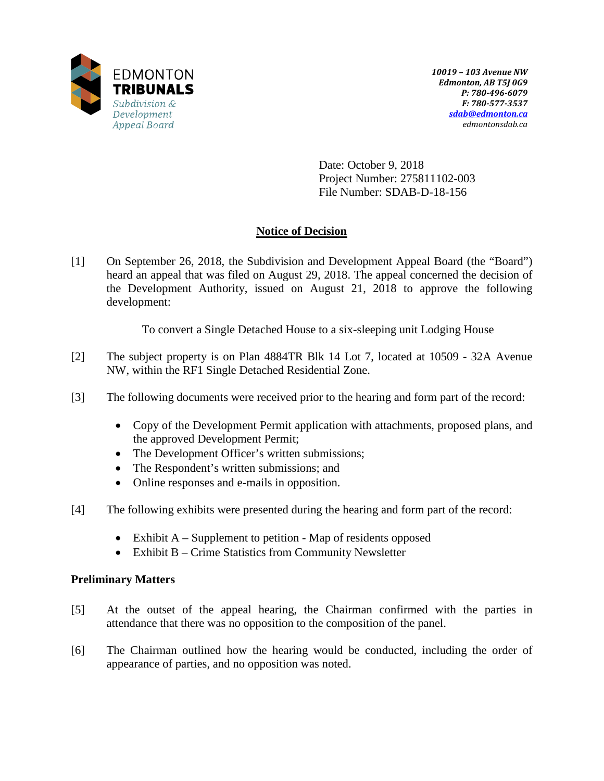

Date: October 9, 2018 Project Number: 275811102-003 File Number: SDAB-D-18-156

# **Notice of Decision**

[1] On September 26, 2018, the Subdivision and Development Appeal Board (the "Board") heard an appeal that was filed on August 29, 2018. The appeal concerned the decision of the Development Authority, issued on August 21, 2018 to approve the following development:

To convert a Single Detached House to a six-sleeping unit Lodging House

- [2] The subject property is on Plan 4884TR Blk 14 Lot 7, located at 10509 32A Avenue NW, within the RF1 Single Detached Residential Zone.
- [3] The following documents were received prior to the hearing and form part of the record:
	- Copy of the Development Permit application with attachments, proposed plans, and the approved Development Permit;
	- The Development Officer's written submissions;
	- The Respondent's written submissions; and
	- Online responses and e-mails in opposition.
- [4] The following exhibits were presented during the hearing and form part of the record:
	- Exhibit A Supplement to petition Map of residents opposed
	- Exhibit B Crime Statistics from Community Newsletter

## **Preliminary Matters**

- [5] At the outset of the appeal hearing, the Chairman confirmed with the parties in attendance that there was no opposition to the composition of the panel.
- [6] The Chairman outlined how the hearing would be conducted, including the order of appearance of parties, and no opposition was noted.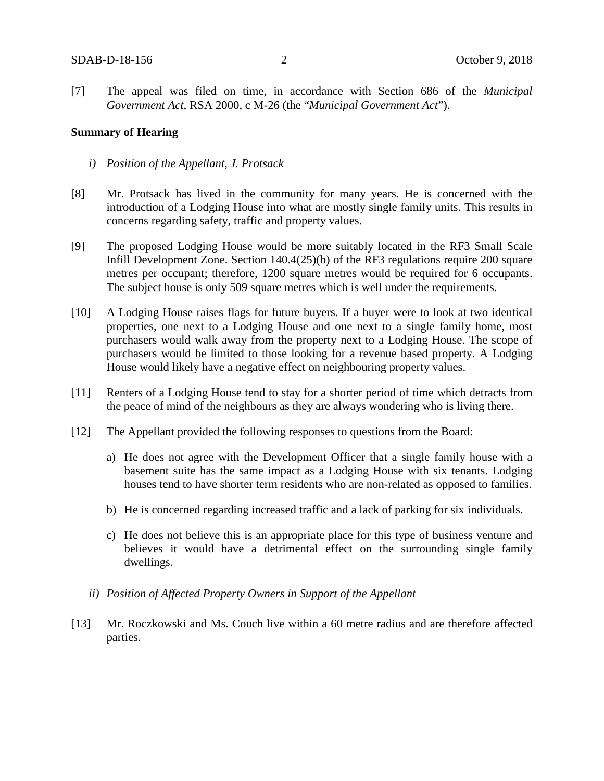[7] The appeal was filed on time, in accordance with Section 686 of the *Municipal Government Act*, RSA 2000, c M-26 (the "*Municipal Government Act*").

### **Summary of Hearing**

- *i) Position of the Appellant, J. Protsack*
- [8] Mr. Protsack has lived in the community for many years. He is concerned with the introduction of a Lodging House into what are mostly single family units. This results in concerns regarding safety, traffic and property values.
- [9] The proposed Lodging House would be more suitably located in the RF3 Small Scale Infill Development Zone. Section 140.4(25)(b) of the RF3 regulations require 200 square metres per occupant; therefore, 1200 square metres would be required for 6 occupants. The subject house is only 509 square metres which is well under the requirements.
- [10] A Lodging House raises flags for future buyers. If a buyer were to look at two identical properties, one next to a Lodging House and one next to a single family home, most purchasers would walk away from the property next to a Lodging House. The scope of purchasers would be limited to those looking for a revenue based property. A Lodging House would likely have a negative effect on neighbouring property values.
- [11] Renters of a Lodging House tend to stay for a shorter period of time which detracts from the peace of mind of the neighbours as they are always wondering who is living there.
- [12] The Appellant provided the following responses to questions from the Board:
	- a) He does not agree with the Development Officer that a single family house with a basement suite has the same impact as a Lodging House with six tenants. Lodging houses tend to have shorter term residents who are non-related as opposed to families.
	- b) He is concerned regarding increased traffic and a lack of parking for six individuals.
	- c) He does not believe this is an appropriate place for this type of business venture and believes it would have a detrimental effect on the surrounding single family dwellings.
	- *ii) Position of Affected Property Owners in Support of the Appellant*
- [13] Mr. Roczkowski and Ms. Couch live within a 60 metre radius and are therefore affected parties.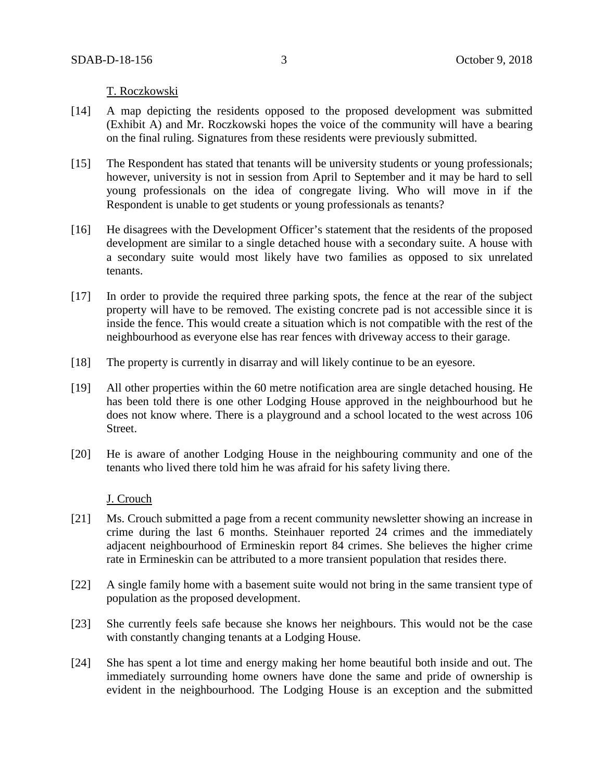T. Roczkowski

- [14] A map depicting the residents opposed to the proposed development was submitted (Exhibit A) and Mr. Roczkowski hopes the voice of the community will have a bearing on the final ruling. Signatures from these residents were previously submitted.
- [15] The Respondent has stated that tenants will be university students or young professionals; however, university is not in session from April to September and it may be hard to sell young professionals on the idea of congregate living. Who will move in if the Respondent is unable to get students or young professionals as tenants?
- [16] He disagrees with the Development Officer's statement that the residents of the proposed development are similar to a single detached house with a secondary suite. A house with a secondary suite would most likely have two families as opposed to six unrelated tenants.
- [17] In order to provide the required three parking spots, the fence at the rear of the subject property will have to be removed. The existing concrete pad is not accessible since it is inside the fence. This would create a situation which is not compatible with the rest of the neighbourhood as everyone else has rear fences with driveway access to their garage.
- [18] The property is currently in disarray and will likely continue to be an eyesore.
- [19] All other properties within the 60 metre notification area are single detached housing. He has been told there is one other Lodging House approved in the neighbourhood but he does not know where. There is a playground and a school located to the west across 106 Street.
- [20] He is aware of another Lodging House in the neighbouring community and one of the tenants who lived there told him he was afraid for his safety living there.

J. Crouch

- [21] Ms. Crouch submitted a page from a recent community newsletter showing an increase in crime during the last 6 months. Steinhauer reported 24 crimes and the immediately adjacent neighbourhood of Ermineskin report 84 crimes. She believes the higher crime rate in Ermineskin can be attributed to a more transient population that resides there.
- [22] A single family home with a basement suite would not bring in the same transient type of population as the proposed development.
- [23] She currently feels safe because she knows her neighbours. This would not be the case with constantly changing tenants at a Lodging House.
- [24] She has spent a lot time and energy making her home beautiful both inside and out. The immediately surrounding home owners have done the same and pride of ownership is evident in the neighbourhood. The Lodging House is an exception and the submitted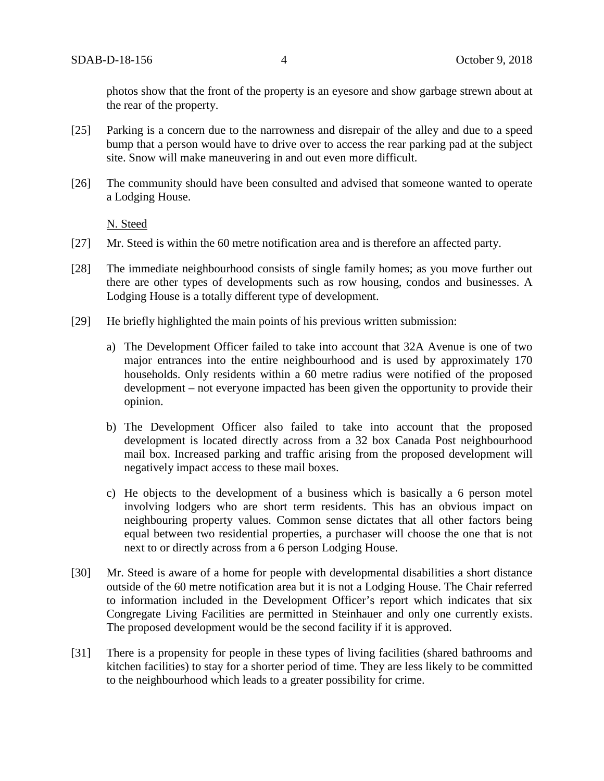photos show that the front of the property is an eyesore and show garbage strewn about at the rear of the property.

- [25] Parking is a concern due to the narrowness and disrepair of the alley and due to a speed bump that a person would have to drive over to access the rear parking pad at the subject site. Snow will make maneuvering in and out even more difficult.
- [26] The community should have been consulted and advised that someone wanted to operate a Lodging House.

N. Steed

- [27] Mr. Steed is within the 60 metre notification area and is therefore an affected party.
- [28] The immediate neighbourhood consists of single family homes; as you move further out there are other types of developments such as row housing, condos and businesses. A Lodging House is a totally different type of development.
- [29] He briefly highlighted the main points of his previous written submission:
	- a) The Development Officer failed to take into account that 32A Avenue is one of two major entrances into the entire neighbourhood and is used by approximately 170 households. Only residents within a 60 metre radius were notified of the proposed development – not everyone impacted has been given the opportunity to provide their opinion.
	- b) The Development Officer also failed to take into account that the proposed development is located directly across from a 32 box Canada Post neighbourhood mail box. Increased parking and traffic arising from the proposed development will negatively impact access to these mail boxes.
	- c) He objects to the development of a business which is basically a 6 person motel involving lodgers who are short term residents. This has an obvious impact on neighbouring property values. Common sense dictates that all other factors being equal between two residential properties, a purchaser will choose the one that is not next to or directly across from a 6 person Lodging House.
- [30] Mr. Steed is aware of a home for people with developmental disabilities a short distance outside of the 60 metre notification area but it is not a Lodging House. The Chair referred to information included in the Development Officer's report which indicates that six Congregate Living Facilities are permitted in Steinhauer and only one currently exists. The proposed development would be the second facility if it is approved.
- [31] There is a propensity for people in these types of living facilities (shared bathrooms and kitchen facilities) to stay for a shorter period of time. They are less likely to be committed to the neighbourhood which leads to a greater possibility for crime.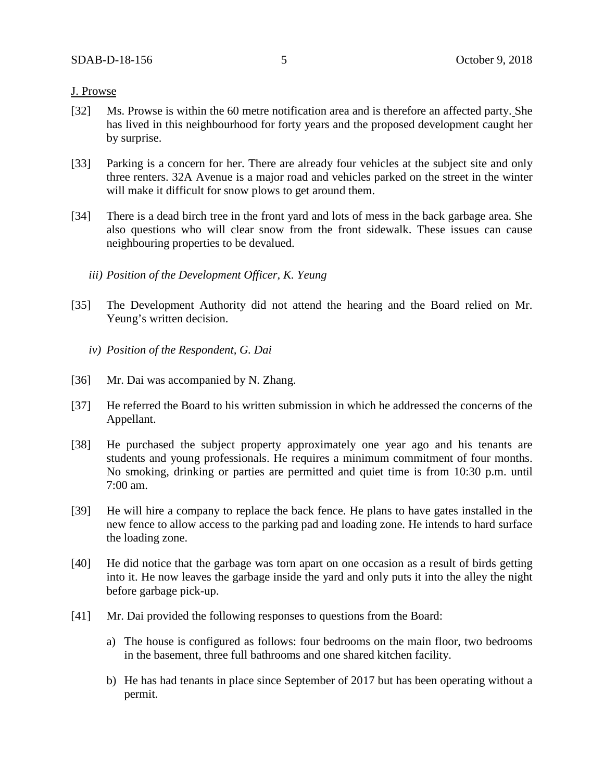### J. Prowse

- [32] Ms. Prowse is within the 60 metre notification area and is therefore an affected party. She has lived in this neighbourhood for forty years and the proposed development caught her by surprise.
- [33] Parking is a concern for her. There are already four vehicles at the subject site and only three renters. 32A Avenue is a major road and vehicles parked on the street in the winter will make it difficult for snow plows to get around them.
- [34] There is a dead birch tree in the front yard and lots of mess in the back garbage area. She also questions who will clear snow from the front sidewalk. These issues can cause neighbouring properties to be devalued.
	- *iii) Position of the Development Officer, K. Yeung*
- [35] The Development Authority did not attend the hearing and the Board relied on Mr. Yeung's written decision.
	- *iv) Position of the Respondent, G. Dai*
- [36] Mr. Dai was accompanied by N. Zhang.
- [37] He referred the Board to his written submission in which he addressed the concerns of the Appellant.
- [38] He purchased the subject property approximately one year ago and his tenants are students and young professionals. He requires a minimum commitment of four months. No smoking, drinking or parties are permitted and quiet time is from 10:30 p.m. until 7:00 am.
- [39] He will hire a company to replace the back fence. He plans to have gates installed in the new fence to allow access to the parking pad and loading zone. He intends to hard surface the loading zone.
- [40] He did notice that the garbage was torn apart on one occasion as a result of birds getting into it. He now leaves the garbage inside the yard and only puts it into the alley the night before garbage pick-up.
- [41] Mr. Dai provided the following responses to questions from the Board:
	- a) The house is configured as follows: four bedrooms on the main floor, two bedrooms in the basement, three full bathrooms and one shared kitchen facility.
	- b) He has had tenants in place since September of 2017 but has been operating without a permit.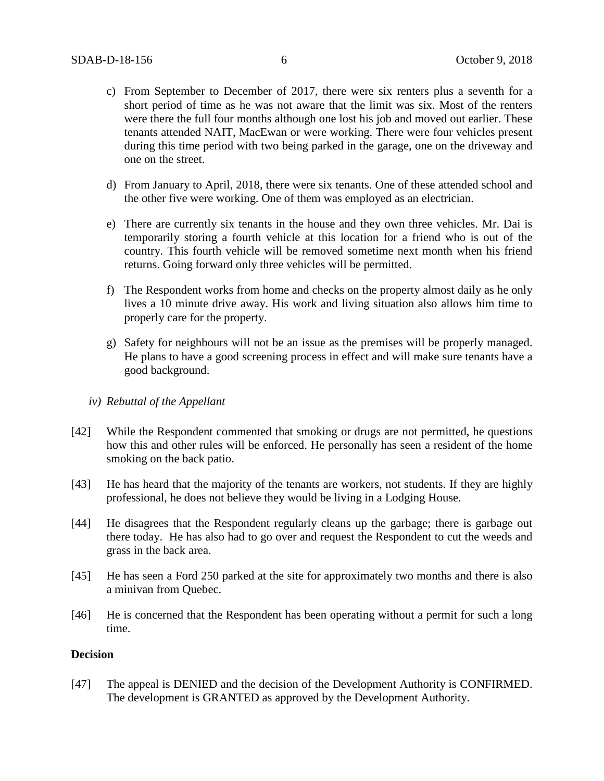- c) From September to December of 2017, there were six renters plus a seventh for a short period of time as he was not aware that the limit was six. Most of the renters were there the full four months although one lost his job and moved out earlier. These tenants attended NAIT, MacEwan or were working. There were four vehicles present during this time period with two being parked in the garage, one on the driveway and one on the street.
- d) From January to April, 2018, there were six tenants. One of these attended school and the other five were working. One of them was employed as an electrician.
- e) There are currently six tenants in the house and they own three vehicles. Mr. Dai is temporarily storing a fourth vehicle at this location for a friend who is out of the country. This fourth vehicle will be removed sometime next month when his friend returns. Going forward only three vehicles will be permitted.
- f) The Respondent works from home and checks on the property almost daily as he only lives a 10 minute drive away. His work and living situation also allows him time to properly care for the property.
- g) Safety for neighbours will not be an issue as the premises will be properly managed. He plans to have a good screening process in effect and will make sure tenants have a good background.
- *iv) Rebuttal of the Appellant*
- [42] While the Respondent commented that smoking or drugs are not permitted, he questions how this and other rules will be enforced. He personally has seen a resident of the home smoking on the back patio.
- [43] He has heard that the majority of the tenants are workers, not students. If they are highly professional, he does not believe they would be living in a Lodging House.
- [44] He disagrees that the Respondent regularly cleans up the garbage; there is garbage out there today. He has also had to go over and request the Respondent to cut the weeds and grass in the back area.
- [45] He has seen a Ford 250 parked at the site for approximately two months and there is also a minivan from Quebec.
- [46] He is concerned that the Respondent has been operating without a permit for such a long time.

### **Decision**

[47] The appeal is DENIED and the decision of the Development Authority is CONFIRMED. The development is GRANTED as approved by the Development Authority.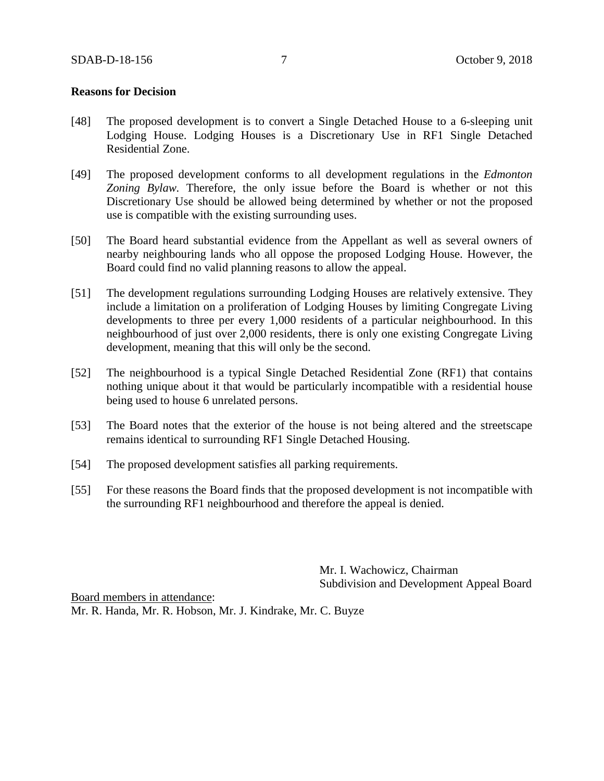### **Reasons for Decision**

- [48] The proposed development is to convert a Single Detached House to a 6-sleeping unit Lodging House. Lodging Houses is a Discretionary Use in RF1 Single Detached Residential Zone.
- [49] The proposed development conforms to all development regulations in the *Edmonton Zoning Bylaw.* Therefore, the only issue before the Board is whether or not this Discretionary Use should be allowed being determined by whether or not the proposed use is compatible with the existing surrounding uses.
- [50] The Board heard substantial evidence from the Appellant as well as several owners of nearby neighbouring lands who all oppose the proposed Lodging House. However, the Board could find no valid planning reasons to allow the appeal.
- [51] The development regulations surrounding Lodging Houses are relatively extensive. They include a limitation on a proliferation of Lodging Houses by limiting Congregate Living developments to three per every 1,000 residents of a particular neighbourhood. In this neighbourhood of just over 2,000 residents, there is only one existing Congregate Living development, meaning that this will only be the second.
- [52] The neighbourhood is a typical Single Detached Residential Zone (RF1) that contains nothing unique about it that would be particularly incompatible with a residential house being used to house 6 unrelated persons.
- [53] The Board notes that the exterior of the house is not being altered and the streetscape remains identical to surrounding RF1 Single Detached Housing.
- [54] The proposed development satisfies all parking requirements.
- [55] For these reasons the Board finds that the proposed development is not incompatible with the surrounding RF1 neighbourhood and therefore the appeal is denied.

Mr. I. Wachowicz, Chairman Subdivision and Development Appeal Board

Board members in attendance: Mr. R. Handa, Mr. R. Hobson, Mr. J. Kindrake, Mr. C. Buyze